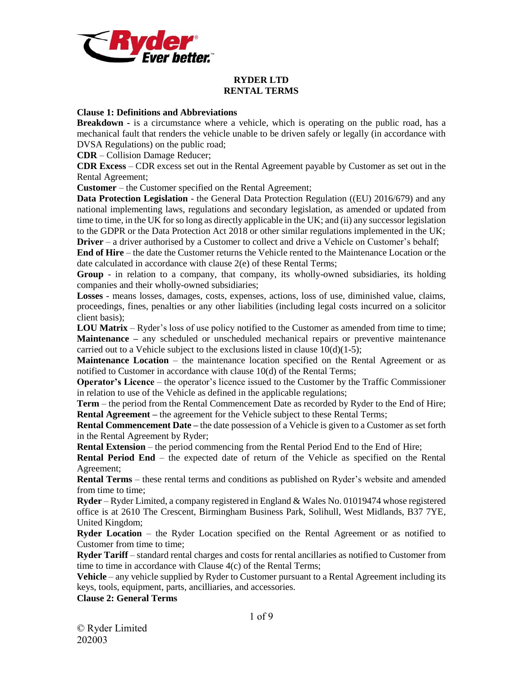

# **RYDER LTD RENTAL TERMS**

#### **Clause 1: Definitions and Abbreviations**

**Breakdown -** is a circumstance where a vehicle, which is operating on the public road, has a mechanical fault that renders the vehicle unable to be driven safely or legally (in accordance with DVSA Regulations) on the public road;

**CDR** – Collision Damage Reducer;

**CDR Excess** – CDR excess set out in the Rental Agreement payable by Customer as set out in the Rental Agreement;

**Customer** – the Customer specified on the Rental Agreement;

**Data Protection Legislation** - the General Data Protection Regulation ((EU) 2016/679) and any national implementing laws, regulations and secondary legislation, as amended or updated from time to time, in the UK for so long as directly applicable in the UK; and (ii) any successor legislation to the GDPR or the Data Protection Act 2018 or other similar regulations implemented in the UK; **Driver** – a driver authorised by a Customer to collect and drive a Vehicle on Customer's behalf;

**End of Hire** – the date the Customer returns the Vehicle rented to the Maintenance Location or the date calculated in accordance with clause 2(e) of these Rental Terms;

**Group** - in relation to a company, that company, its wholly-owned subsidiaries, its holding companies and their wholly-owned subsidiaries;

**Losses** - means losses, damages, costs, expenses, actions, loss of use, diminished value, claims, proceedings, fines, penalties or any other liabilities (including legal costs incurred on a solicitor client basis);

**LOU Matrix** – Ryder's loss of use policy notified to the Customer as amended from time to time; **Maintenance –** any scheduled or unscheduled mechanical repairs or preventive maintenance carried out to a Vehicle subject to the exclusions listed in clause  $10(d)(1-5)$ ;

**Maintenance Location** – the maintenance location specified on the Rental Agreement or as notified to Customer in accordance with clause 10(d) of the Rental Terms;

**Operator's Licence** – the operator's licence issued to the Customer by the Traffic Commissioner in relation to use of the Vehicle as defined in the applicable regulations;

**Term** – the period from the Rental Commencement Date as recorded by Ryder to the End of Hire; **Rental Agreement** – the agreement for the Vehicle subject to these Rental Terms;

**Rental Commencement Date –** the date possession of a Vehicle is given to a Customer as set forth in the Rental Agreement by Ryder;

**Rental Extension** – the period commencing from the Rental Period End to the End of Hire;

**Rental Period End** – the expected date of return of the Vehicle as specified on the Rental Agreement;

**Rental Terms** – these rental terms and conditions as published on Ryder's website and amended from time to time;

**Ryder** – Ryder Limited, a company registered in England & Wales No. 01019474 whose registered office is at 2610 The Crescent, Birmingham Business Park, Solihull, West Midlands, B37 7YE, United Kingdom;

**Ryder Location** – the Ryder Location specified on the Rental Agreement or as notified to Customer from time to time;

**Ryder Tariff** – standard rental charges and costs for rental ancillaries as notified to Customer from time to time in accordance with Clause 4(c) of the Rental Terms;

**Vehicle** – any vehicle supplied by Ryder to Customer pursuant to a Rental Agreement including its keys, tools, equipment, parts, ancilliaries, and accessories.

#### **Clause 2: General Terms**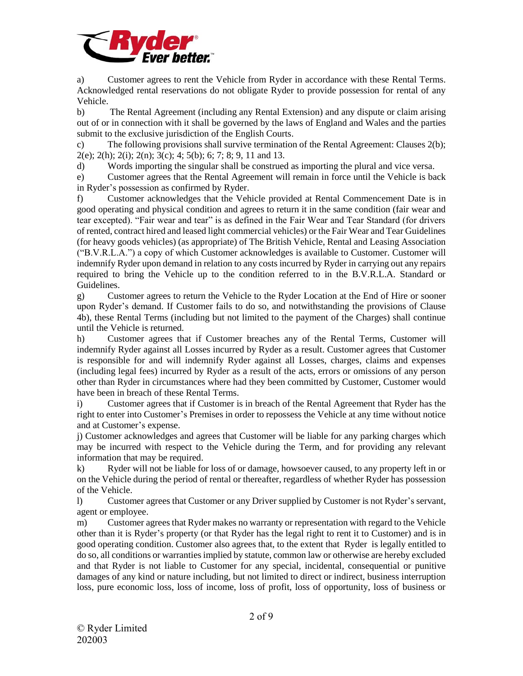

a) Customer agrees to rent the Vehicle from Ryder in accordance with these Rental Terms. Acknowledged rental reservations do not obligate Ryder to provide possession for rental of any Vehicle.

b) The Rental Agreement (including any Rental Extension) and any dispute or claim arising out of or in connection with it shall be governed by the laws of England and Wales and the parties submit to the exclusive jurisdiction of the English Courts.

c) The following provisions shall survive termination of the Rental Agreement: Clauses 2(b);  $2(e)$ ;  $2(h)$ ;  $2(i)$ ;  $2(n)$ ;  $3(c)$ ;  $4$ ;  $5(b)$ ;  $6$ ;  $7$ ;  $8$ ;  $9$ ,  $11$  and 13.

d) Words importing the singular shall be construed as importing the plural and vice versa.

e) Customer agrees that the Rental Agreement will remain in force until the Vehicle is back in Ryder's possession as confirmed by Ryder.

f) Customer acknowledges that the Vehicle provided at Rental Commencement Date is in good operating and physical condition and agrees to return it in the same condition (fair wear and tear excepted). "Fair wear and tear" is as defined in the Fair Wear and Tear Standard (for drivers of rented, contract hired and leased light commercial vehicles) or the Fair Wear and Tear Guidelines (for heavy goods vehicles) (as appropriate) of The British Vehicle, Rental and Leasing Association ("B.V.R.L.A.") a copy of which Customer acknowledges is available to Customer. Customer will indemnify Ryder upon demand in relation to any costs incurred by Ryder in carrying out any repairs required to bring the Vehicle up to the condition referred to in the B.V.R.L.A. Standard or Guidelines.

g) Customer agrees to return the Vehicle to the Ryder Location at the End of Hire or sooner upon Ryder's demand. If Customer fails to do so, and notwithstanding the provisions of Clause 4b), these Rental Terms (including but not limited to the payment of the Charges) shall continue until the Vehicle is returned.

h) Customer agrees that if Customer breaches any of the Rental Terms, Customer will indemnify Ryder against all Losses incurred by Ryder as a result. Customer agrees that Customer is responsible for and will indemnify Ryder against all Losses, charges, claims and expenses (including legal fees) incurred by Ryder as a result of the acts, errors or omissions of any person other than Ryder in circumstances where had they been committed by Customer, Customer would have been in breach of these Rental Terms.

i) Customer agrees that if Customer is in breach of the Rental Agreement that Ryder has the right to enter into Customer's Premises in order to repossess the Vehicle at any time without notice and at Customer's expense.

j) Customer acknowledges and agrees that Customer will be liable for any parking charges which may be incurred with respect to the Vehicle during the Term, and for providing any relevant information that may be required.

k) Ryder will not be liable for loss of or damage, howsoever caused, to any property left in or on the Vehicle during the period of rental or thereafter, regardless of whether Ryder has possession of the Vehicle.

l) Customer agrees that Customer or any Driver supplied by Customer is not Ryder's servant, agent or employee.

m) Customer agreesthat Ryder makes no warranty or representation with regard to the Vehicle other than it is Ryder's property (or that Ryder has the legal right to rent it to Customer) and is in good operating condition. Customer also agrees that, to the extent that Ryder is legally entitled to do so, all conditions or warranties implied by statute, common law or otherwise are hereby excluded and that Ryder is not liable to Customer for any special, incidental, consequential or punitive damages of any kind or nature including, but not limited to direct or indirect, business interruption loss, pure economic loss, loss of income, loss of profit, loss of opportunity, loss of business or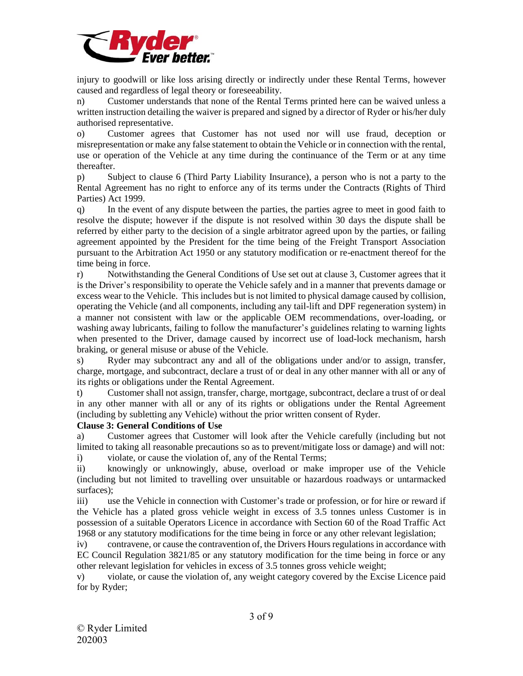

injury to goodwill or like loss arising directly or indirectly under these Rental Terms, however caused and regardless of legal theory or foreseeability.

n) Customer understands that none of the Rental Terms printed here can be waived unless a written instruction detailing the waiver is prepared and signed by a director of Ryder or his/her duly authorised representative.

o) Customer agrees that Customer has not used nor will use fraud, deception or misrepresentation or make any false statement to obtain the Vehicle or in connection with the rental, use or operation of the Vehicle at any time during the continuance of the Term or at any time thereafter.

p) Subject to clause 6 (Third Party Liability Insurance), a person who is not a party to the Rental Agreement has no right to enforce any of its terms under the Contracts (Rights of Third Parties) Act 1999.

q) In the event of any dispute between the parties, the parties agree to meet in good faith to resolve the dispute; however if the dispute is not resolved within 30 days the dispute shall be referred by either party to the decision of a single arbitrator agreed upon by the parties, or failing agreement appointed by the President for the time being of the Freight Transport Association pursuant to the Arbitration Act 1950 or any statutory modification or re-enactment thereof for the time being in force.

r) Notwithstanding the General Conditions of Use set out at clause 3, Customer agrees that it is the Driver's responsibility to operate the Vehicle safely and in a manner that prevents damage or excess wear to the Vehicle. This includes but is not limited to physical damage caused by collision, operating the Vehicle (and all components, including any tail-lift and DPF regeneration system) in a manner not consistent with law or the applicable OEM recommendations, over-loading, or washing away lubricants, failing to follow the manufacturer's guidelines relating to warning lights when presented to the Driver, damage caused by incorrect use of load-lock mechanism, harsh braking, or general misuse or abuse of the Vehicle.

s) Ryder may subcontract any and all of the obligations under and/or to assign, transfer, charge, mortgage, and subcontract, declare a trust of or deal in any other manner with all or any of its rights or obligations under the Rental Agreement.

t) Customer shall not assign, transfer, charge, mortgage, subcontract, declare a trust of or deal in any other manner with all or any of its rights or obligations under the Rental Agreement (including by subletting any Vehicle) without the prior written consent of Ryder.

#### **Clause 3: General Conditions of Use**

a) Customer agrees that Customer will look after the Vehicle carefully (including but not limited to taking all reasonable precautions so as to prevent/mitigate loss or damage) and will not:

i) violate, or cause the violation of, any of the Rental Terms;

ii) knowingly or unknowingly, abuse, overload or make improper use of the Vehicle (including but not limited to travelling over unsuitable or hazardous roadways or untarmacked surfaces);

iii) use the Vehicle in connection with Customer's trade or profession, or for hire or reward if the Vehicle has a plated gross vehicle weight in excess of 3.5 tonnes unless Customer is in possession of a suitable Operators Licence in accordance with Section 60 of the Road Traffic Act 1968 or any statutory modifications for the time being in force or any other relevant legislation;

iv) contravene, or cause the contravention of, the Drivers Hours regulations in accordance with EC Council Regulation 3821/85 or any statutory modification for the time being in force or any other relevant legislation for vehicles in excess of 3.5 tonnes gross vehicle weight;

v) violate, or cause the violation of, any weight category covered by the Excise Licence paid for by Ryder;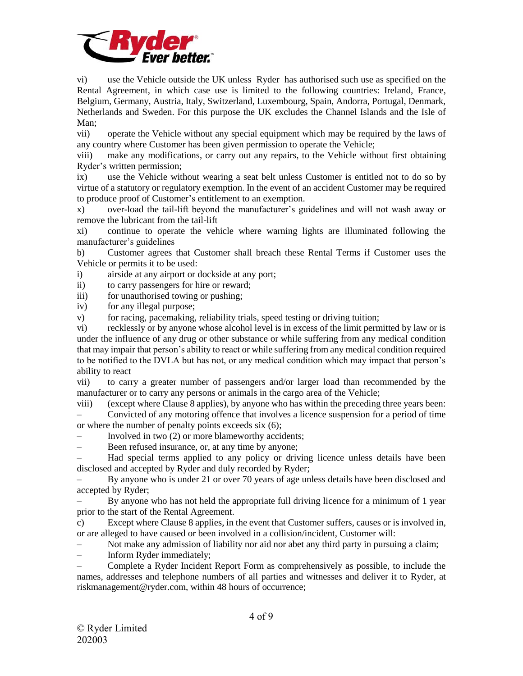

vi) use the Vehicle outside the UK unless Ryder has authorised such use as specified on the Rental Agreement, in which case use is limited to the following countries: Ireland, France, Belgium, Germany, Austria, Italy, Switzerland, Luxembourg, Spain, Andorra, Portugal, Denmark, Netherlands and Sweden. For this purpose the UK excludes the Channel Islands and the Isle of Man;

vii) operate the Vehicle without any special equipment which may be required by the laws of any country where Customer has been given permission to operate the Vehicle;

viii) make any modifications, or carry out any repairs, to the Vehicle without first obtaining Ryder's written permission;

ix) use the Vehicle without wearing a seat belt unless Customer is entitled not to do so by virtue of a statutory or regulatory exemption. In the event of an accident Customer may be required to produce proof of Customer's entitlement to an exemption.

x) over-load the tail-lift beyond the manufacturer's guidelines and will not wash away or remove the lubricant from the tail-lift

xi) continue to operate the vehicle where warning lights are illuminated following the manufacturer's guidelines

b) Customer agrees that Customer shall breach these Rental Terms if Customer uses the Vehicle or permits it to be used:

i) airside at any airport or dockside at any port;

ii) to carry passengers for hire or reward;

iii) for unauthorised towing or pushing;

iv) for any illegal purpose;

v) for racing, pacemaking, reliability trials, speed testing or driving tuition;

vi) recklessly or by anyone whose alcohol level is in excess of the limit permitted by law or is under the influence of any drug or other substance or while suffering from any medical condition that may impair that person's ability to react or while suffering from any medical condition required to be notified to the DVLA but has not, or any medical condition which may impact that person's ability to react

vii) to carry a greater number of passengers and/or larger load than recommended by the manufacturer or to carry any persons or animals in the cargo area of the Vehicle;

viii) (except where Clause 8 applies), by anyone who has within the preceding three years been: – Convicted of any motoring offence that involves a licence suspension for a period of time or where the number of penalty points exceeds six (6);

– Involved in two (2) or more blameworthy accidents;

– Been refused insurance, or, at any time by anyone;

– Had special terms applied to any policy or driving licence unless details have been disclosed and accepted by Ryder and duly recorded by Ryder;

– By anyone who is under 21 or over 70 years of age unless details have been disclosed and accepted by Ryder;

– By anyone who has not held the appropriate full driving licence for a minimum of 1 year prior to the start of the Rental Agreement.

c) Except where Clause 8 applies, in the event that Customer suffers, causes or is involved in, or are alleged to have caused or been involved in a collision/incident, Customer will:

– Not make any admission of liability nor aid nor abet any third party in pursuing a claim;

– Inform Ryder immediately;

– Complete a Ryder Incident Report Form as comprehensively as possible, to include the names, addresses and telephone numbers of all parties and witnesses and deliver it to Ryder, at riskmanagement@ryder.com, within 48 hours of occurrence;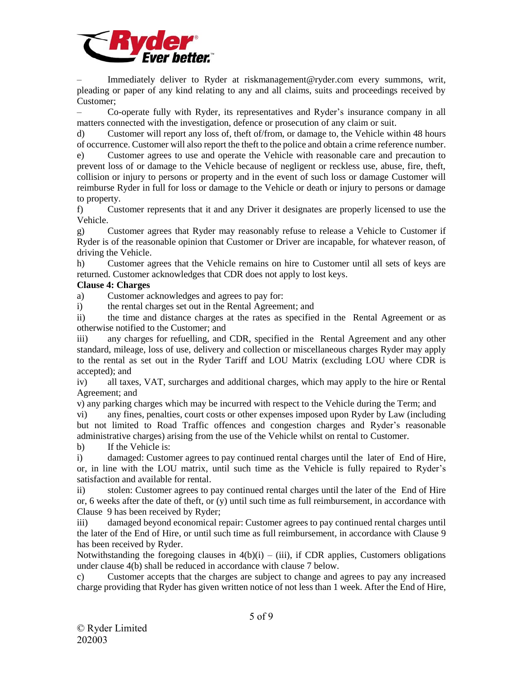

Immediately deliver to Ryder at riskmanagement@ryder.com every summons, writ, pleading or paper of any kind relating to any and all claims, suits and proceedings received by Customer;

– Co-operate fully with Ryder, its representatives and Ryder's insurance company in all matters connected with the investigation, defence or prosecution of any claim or suit.

d) Customer will report any loss of, theft of/from, or damage to, the Vehicle within 48 hours of occurrence. Customer will also report the theft to the police and obtain a crime reference number.

e) Customer agrees to use and operate the Vehicle with reasonable care and precaution to prevent loss of or damage to the Vehicle because of negligent or reckless use, abuse, fire, theft, collision or injury to persons or property and in the event of such loss or damage Customer will reimburse Ryder in full for loss or damage to the Vehicle or death or injury to persons or damage to property.

f) Customer represents that it and any Driver it designates are properly licensed to use the Vehicle.

g) Customer agrees that Ryder may reasonably refuse to release a Vehicle to Customer if Ryder is of the reasonable opinion that Customer or Driver are incapable, for whatever reason, of driving the Vehicle.

h) Customer agrees that the Vehicle remains on hire to Customer until all sets of keys are returned. Customer acknowledges that CDR does not apply to lost keys.

# **Clause 4: Charges**

a) Customer acknowledges and agrees to pay for:

i) the rental charges set out in the Rental Agreement; and

ii) the time and distance charges at the rates as specified in the Rental Agreement or as otherwise notified to the Customer; and

iii) any charges for refuelling, and CDR, specified in the Rental Agreement and any other standard, mileage, loss of use, delivery and collection or miscellaneous charges Ryder may apply to the rental as set out in the Ryder Tariff and LOU Matrix (excluding LOU where CDR is accepted); and

iv) all taxes, VAT, surcharges and additional charges, which may apply to the hire or Rental Agreement; and

v) any parking charges which may be incurred with respect to the Vehicle during the Term; and

vi) any fines, penalties, court costs or other expenses imposed upon Ryder by Law (including but not limited to Road Traffic offences and congestion charges and Ryder's reasonable administrative charges) arising from the use of the Vehicle whilst on rental to Customer.

b) If the Vehicle is:

i) damaged: Customer agrees to pay continued rental charges until the later of End of Hire, or, in line with the LOU matrix, until such time as the Vehicle is fully repaired to Ryder's satisfaction and available for rental.

ii) stolen: Customer agrees to pay continued rental charges until the later of the End of Hire or, 6 weeks after the date of theft, or  $(y)$  until such time as full reimbursement, in accordance with Clause 9 has been received by Ryder;

iii) damaged beyond economical repair: Customer agrees to pay continued rental charges until the later of the End of Hire, or until such time as full reimbursement, in accordance with Clause 9 has been received by Ryder.

Notwithstanding the foregoing clauses in  $4(b)(i) - (iii)$ , if CDR applies, Customers obligations under clause 4(b) shall be reduced in accordance with clause 7 below.

c) Customer accepts that the charges are subject to change and agrees to pay any increased charge providing that Ryder has given written notice of not less than 1 week. After the End of Hire,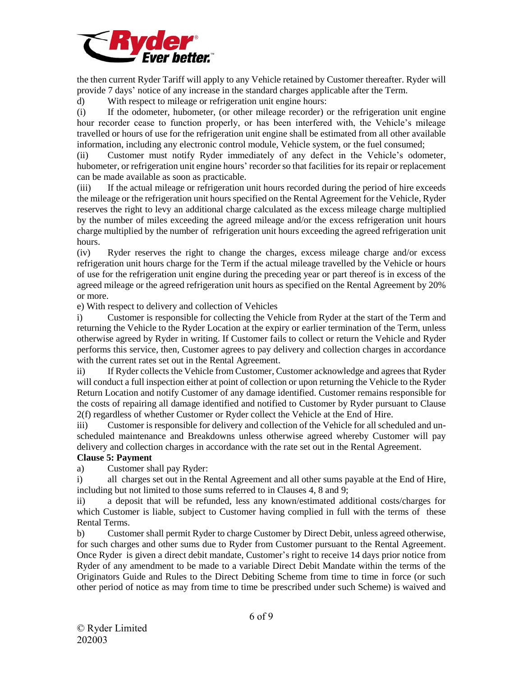

the then current Ryder Tariff will apply to any Vehicle retained by Customer thereafter. Ryder will provide 7 days' notice of any increase in the standard charges applicable after the Term.

d) With respect to mileage or refrigeration unit engine hours:

(i) If the odometer, hubometer, (or other mileage recorder) or the refrigeration unit engine hour recorder cease to function properly, or has been interfered with, the Vehicle's mileage travelled or hours of use for the refrigeration unit engine shall be estimated from all other available information, including any electronic control module, Vehicle system, or the fuel consumed;

(ii) Customer must notify Ryder immediately of any defect in the Vehicle's odometer, hubometer, or refrigeration unit engine hours' recorder so that facilities for its repair or replacement can be made available as soon as practicable.

(iii) If the actual mileage or refrigeration unit hours recorded during the period of hire exceeds the mileage or the refrigeration unit hours specified on the Rental Agreement for the Vehicle, Ryder reserves the right to levy an additional charge calculated as the excess mileage charge multiplied by the number of miles exceeding the agreed mileage and/or the excess refrigeration unit hours charge multiplied by the number of refrigeration unit hours exceeding the agreed refrigeration unit hours.

(iv) Ryder reserves the right to change the charges, excess mileage charge and/or excess refrigeration unit hours charge for the Term if the actual mileage travelled by the Vehicle or hours of use for the refrigeration unit engine during the preceding year or part thereof is in excess of the agreed mileage or the agreed refrigeration unit hours as specified on the Rental Agreement by 20% or more.

e) With respect to delivery and collection of Vehicles

i) Customer is responsible for collecting the Vehicle from Ryder at the start of the Term and returning the Vehicle to the Ryder Location at the expiry or earlier termination of the Term, unless otherwise agreed by Ryder in writing. If Customer fails to collect or return the Vehicle and Ryder performs this service, then, Customer agrees to pay delivery and collection charges in accordance with the current rates set out in the Rental Agreement.

ii) If Ryder collects the Vehicle from Customer, Customer acknowledge and agrees that Ryder will conduct a full inspection either at point of collection or upon returning the Vehicle to the Ryder Return Location and notify Customer of any damage identified. Customer remains responsible for the costs of repairing all damage identified and notified to Customer by Ryder pursuant to Clause 2(f) regardless of whether Customer or Ryder collect the Vehicle at the End of Hire.

iii) Customer is responsible for delivery and collection of the Vehicle for all scheduled and unscheduled maintenance and Breakdowns unless otherwise agreed whereby Customer will pay delivery and collection charges in accordance with the rate set out in the Rental Agreement.

# **Clause 5: Payment**

a) Customer shall pay Ryder:

i) all charges set out in the Rental Agreement and all other sums payable at the End of Hire, including but not limited to those sums referred to in Clauses 4, 8 and 9;

ii) a deposit that will be refunded, less any known/estimated additional costs/charges for which Customer is liable, subject to Customer having complied in full with the terms of these Rental Terms.

b) Customer shall permit Ryder to charge Customer by Direct Debit, unless agreed otherwise, for such charges and other sums due to Ryder from Customer pursuant to the Rental Agreement. Once Ryder is given a direct debit mandate, Customer's right to receive 14 days prior notice from Ryder of any amendment to be made to a variable Direct Debit Mandate within the terms of the Originators Guide and Rules to the Direct Debiting Scheme from time to time in force (or such other period of notice as may from time to time be prescribed under such Scheme) is waived and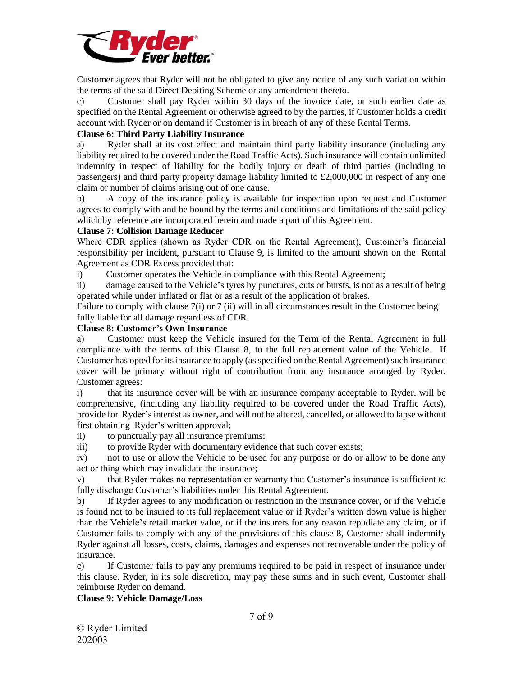

Customer agrees that Ryder will not be obligated to give any notice of any such variation within the terms of the said Direct Debiting Scheme or any amendment thereto.

c) Customer shall pay Ryder within 30 days of the invoice date, or such earlier date as specified on the Rental Agreement or otherwise agreed to by the parties, if Customer holds a credit account with Ryder or on demand if Customer is in breach of any of these Rental Terms.

## **Clause 6: Third Party Liability Insurance**

a) Ryder shall at its cost effect and maintain third party liability insurance (including any liability required to be covered under the Road Traffic Acts). Such insurance will contain unlimited indemnity in respect of liability for the bodily injury or death of third parties (including to passengers) and third party property damage liability limited to £2,000,000 in respect of any one claim or number of claims arising out of one cause.

b) A copy of the insurance policy is available for inspection upon request and Customer agrees to comply with and be bound by the terms and conditions and limitations of the said policy which by reference are incorporated herein and made a part of this Agreement.

## **Clause 7: Collision Damage Reducer**

Where CDR applies (shown as Ryder CDR on the Rental Agreement), Customer's financial responsibility per incident, pursuant to Clause 9, is limited to the amount shown on the Rental Agreement as CDR Excess provided that:

i) Customer operates the Vehicle in compliance with this Rental Agreement;

ii) damage caused to the Vehicle's tyres by punctures, cuts or bursts, is not as a result of being operated while under inflated or flat or as a result of the application of brakes.

Failure to comply with clause 7(i) or 7 (ii) will in all circumstances result in the Customer being fully liable for all damage regardless of CDR

## **Clause 8: Customer's Own Insurance**

a) Customer must keep the Vehicle insured for the Term of the Rental Agreement in full compliance with the terms of this Clause 8, to the full replacement value of the Vehicle. If Customer has opted for its insurance to apply (as specified on the Rental Agreement) such insurance cover will be primary without right of contribution from any insurance arranged by Ryder. Customer agrees:

i) that its insurance cover will be with an insurance company acceptable to Ryder, will be comprehensive, (including any liability required to be covered under the Road Traffic Acts), provide for Ryder'sinterest as owner, and will not be altered, cancelled, or allowed to lapse without first obtaining Ryder's written approval;

ii) to punctually pay all insurance premiums;

iii) to provide Ryder with documentary evidence that such cover exists;

iv) not to use or allow the Vehicle to be used for any purpose or do or allow to be done any act or thing which may invalidate the insurance;

v) that Ryder makes no representation or warranty that Customer's insurance is sufficient to fully discharge Customer's liabilities under this Rental Agreement.

b) If Ryder agrees to any modification or restriction in the insurance cover, or if the Vehicle is found not to be insured to its full replacement value or if Ryder's written down value is higher than the Vehicle's retail market value, or if the insurers for any reason repudiate any claim, or if Customer fails to comply with any of the provisions of this clause 8, Customer shall indemnify Ryder against all losses, costs, claims, damages and expenses not recoverable under the policy of insurance.

c) If Customer fails to pay any premiums required to be paid in respect of insurance under this clause. Ryder, in its sole discretion, may pay these sums and in such event, Customer shall reimburse Ryder on demand.

#### **Clause 9: Vehicle Damage/Loss**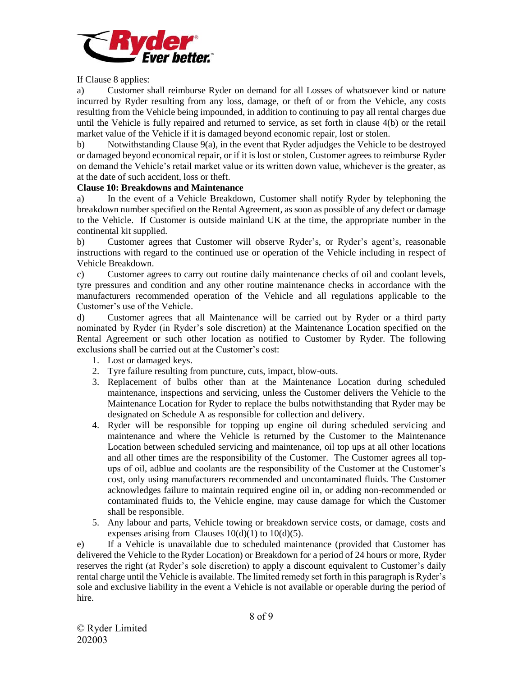

If Clause 8 applies:

a) Customer shall reimburse Ryder on demand for all Losses of whatsoever kind or nature incurred by Ryder resulting from any loss, damage, or theft of or from the Vehicle, any costs resulting from the Vehicle being impounded, in addition to continuing to pay all rental charges due until the Vehicle is fully repaired and returned to service, as set forth in clause 4(b) or the retail market value of the Vehicle if it is damaged beyond economic repair, lost or stolen.

b) Notwithstanding Clause 9(a), in the event that Ryder adjudges the Vehicle to be destroyed or damaged beyond economical repair, or if it is lost or stolen, Customer agrees to reimburse Ryder on demand the Vehicle's retail market value or its written down value, whichever is the greater, as at the date of such accident, loss or theft.

## **Clause 10: Breakdowns and Maintenance**

a) In the event of a Vehicle Breakdown, Customer shall notify Ryder by telephoning the breakdown number specified on the Rental Agreement, as soon as possible of any defect or damage to the Vehicle. If Customer is outside mainland UK at the time, the appropriate number in the continental kit supplied.

b) Customer agrees that Customer will observe Ryder's, or Ryder's agent's, reasonable instructions with regard to the continued use or operation of the Vehicle including in respect of Vehicle Breakdown.

c) Customer agrees to carry out routine daily maintenance checks of oil and coolant levels, tyre pressures and condition and any other routine maintenance checks in accordance with the manufacturers recommended operation of the Vehicle and all regulations applicable to the Customer's use of the Vehicle.

d) Customer agrees that all Maintenance will be carried out by Ryder or a third party nominated by Ryder (in Ryder's sole discretion) at the Maintenance Location specified on the Rental Agreement or such other location as notified to Customer by Ryder. The following exclusions shall be carried out at the Customer's cost:

- 1. Lost or damaged keys.
- 2. Tyre failure resulting from puncture, cuts, impact, blow-outs.
- 3. Replacement of bulbs other than at the Maintenance Location during scheduled maintenance, inspections and servicing, unless the Customer delivers the Vehicle to the Maintenance Location for Ryder to replace the bulbs notwithstanding that Ryder may be designated on Schedule A as responsible for collection and delivery.
- 4. Ryder will be responsible for topping up engine oil during scheduled servicing and maintenance and where the Vehicle is returned by the Customer to the Maintenance Location between scheduled servicing and maintenance, oil top ups at all other locations and all other times are the responsibility of the Customer. The Customer agrees all topups of oil, adblue and coolants are the responsibility of the Customer at the Customer's cost, only using manufacturers recommended and uncontaminated fluids. The Customer acknowledges failure to maintain required engine oil in, or adding non-recommended or contaminated fluids to, the Vehicle engine, may cause damage for which the Customer shall be responsible.
- 5. Any labour and parts, Vehicle towing or breakdown service costs, or damage, costs and expenses arising from Clauses  $10(d)(1)$  to  $10(d)(5)$ .

e) If a Vehicle is unavailable due to scheduled maintenance (provided that Customer has delivered the Vehicle to the Ryder Location) or Breakdown for a period of 24 hours or more, Ryder reserves the right (at Ryder's sole discretion) to apply a discount equivalent to Customer's daily rental charge until the Vehicle is available. The limited remedy set forth in this paragraph is Ryder's sole and exclusive liability in the event a Vehicle is not available or operable during the period of hire.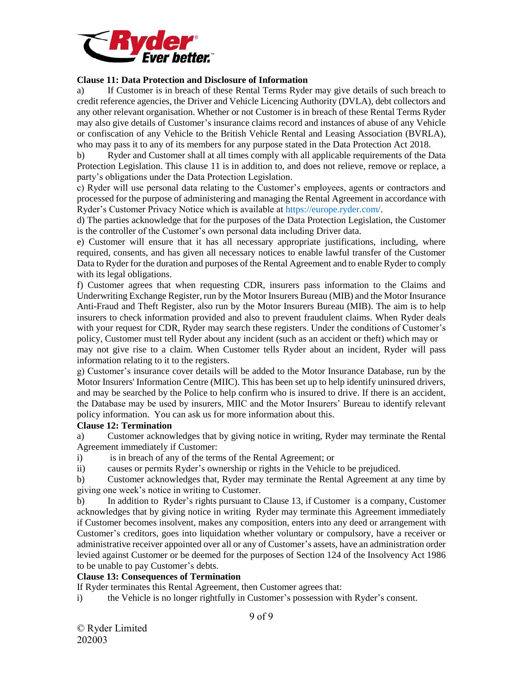

## **Clause 11: Data Protection and Disclosure of Information**

a) If Customer is in breach of these Rental Terms Ryder may give details of such breach to credit reference agencies, the Driver and Vehicle Licencing Authority (DVLA), debt collectors and any other relevant organisation. Whether or not Customer is in breach of these Rental Terms Ryder may also give details of Customer's insurance claims record and instances of abuse of any Vehicle or confiscation of any Vehicle to the British Vehicle Rental and Leasing Association (BVRLA), who may pass it to any of its members for any purpose stated in the Data Protection Act 2018.

b) Ryder and Customer shall at all times comply with all applicable requirements of the Data Protection Legislation. This clause 11 is in addition to, and does not relieve, remove or replace, a party's obligations under the Data Protection Legislation.

c) Ryder will use personal data relating to the Customer's employees, agents or contractors and processed for the purpose of administering and managing the Rental Agreement in accordance with Ryder's Customer Privacy Notice which is available at https://europe.ryder.com/.

d) The parties acknowledge that for the purposes of the Data Protection Legislation, the Customer is the controller of the Customer's own personal data including Driver data.

e) Customer will ensure that it has all necessary appropriate justifications, including, where required, consents, and has given all necessary notices to enable lawful transfer of the Customer Data to Ryder for the duration and purposes of the Rental Agreement and to enable Ryder to comply with its legal obligations.

f) Customer agrees that when requesting CDR, insurers pass information to the Claims and Underwriting Exchange Register, run by the Motor Insurers Bureau (MIB) and the Motor Insurance Anti-Fraud and Theft Register, also run by the Motor Insurers Bureau (MIB). The aim is to help insurers to check information provided and also to prevent fraudulent claims. When Ryder deals with your request for CDR, Ryder may search these registers. Under the conditions of Customer's policy, Customer must tell Ryder about any incident (such as an accident or theft) which may or may not give rise to a claim. When Customer tells Ryder about an incident, Ryder will pass information relating to it to the registers.

g) Customer's insurance cover details will be added to the Motor Insurance Database, run by the Motor Insurers' Information Centre (MIIC). This has been set up to help identify uninsured drivers, and may be searched by the Police to help confirm who is insured to drive. If there is an accident, the Database may be used by insurers, MIIC and the Motor Insurers' Bureau to identify relevant policy information. You can ask us for more information about this.

#### **Clause 12: Termination**

a) Customer acknowledges that by giving notice in writing, Ryder may terminate the Rental Agreement immediately if Customer:

i) is in breach of any of the terms of the Rental Agreement; or

ii) causes or permits Ryder's ownership or rights in the Vehicle to be prejudiced.

b) Customer acknowledges that, Ryder may terminate the Rental Agreement at any time by giving one week's notice in writing to Customer.

b) In addition to Ryder's rights pursuant to Clause 13, if Customer is a company, Customer acknowledges that by giving notice in writing Ryder may terminate this Agreement immediately if Customer becomes insolvent, makes any composition, enters into any deed or arrangement with Customer's creditors, goes into liquidation whether voluntary or compulsory, have a receiver or administrative receiver appointed over all or any of Customer's assets, have an administration order levied against Customer or be deemed for the purposes of Section 124 of the Insolvency Act 1986 to be unable to pay Customer's debts.

## **Clause 13: Consequences of Termination**

If Ryder terminates this Rental Agreement, then Customer agrees that:

i) the Vehicle is no longer rightfully in Customer's possession with Ryder's consent.